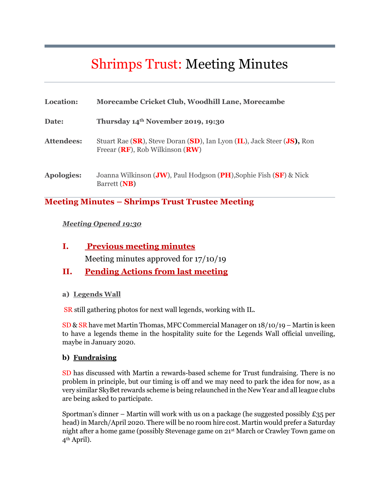# Shrimps Trust: Meeting Minutes

| Location:         | Morecambe Cricket Club, Woodhill Lane, Morecambe                                                               |
|-------------------|----------------------------------------------------------------------------------------------------------------|
| Date:             | Thursday 14th November 2019, 19:30                                                                             |
| <b>Attendees:</b> | Stuart Rae (SR), Steve Doran (SD), Ian Lyon (IL), Jack Steer (JS), Ron<br>Freear $(RF)$ , Rob Wilkinson $(RW)$ |
| <b>Apologies:</b> | Joanna Wilkinson (JW), Paul Hodgson (PH), Sophie Fish (SF) & Nick<br>Barrett (NB)                              |

### **Meeting Minutes – Shrimps Trust Trustee Meeting**

#### *Meeting Opened 19:30*

**I. Previous meeting minutes**  Meeting minutes approved for 17/10/19

## **II. Pending Actions from last meeting**

#### **a) Legends Wall**

SR still gathering photos for next wall legends, working with IL.

SD & SR have met Martin Thomas, MFC Commercial Manager on 18/10/19 – Martin is keen to have a legends theme in the hospitality suite for the Legends Wall official unveiling, maybe in January 2020.

#### **b) Fundraising**

SD has discussed with Martin a rewards-based scheme for Trust fundraising. There is no problem in principle, but our timing is off and we may need to park the idea for now, as a very similar SkyBet rewards scheme is being relaunched in the New Year and all league clubs are being asked to participate.

Sportman's dinner – Martin will work with us on a package (he suggested possibly  $E_{35}$  per head) in March/April 2020. There will be no room hire cost. Martin would prefer a Saturday night after a home game (possibly Stevenage game on 21st March or Crawley Town game on 4th April).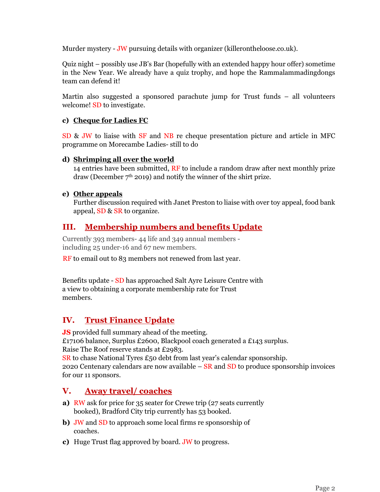Murder mystery - JW pursuing details with organizer (killerontheloose.co.uk).

Quiz night – possibly use JB's Bar (hopefully with an extended happy hour offer) sometime in the New Year. We already have a quiz trophy, and hope the Rammalammadingdongs team can defend it!

Martin also suggested a sponsored parachute jump for Trust funds – all volunteers welcome! SD to investigate.

#### **c) Cheque for Ladies FC**

SD & JW to liaise with SF and NB re cheque presentation picture and article in MFC programme on Morecambe Ladies- still to do

#### **d) Shrimping all over the world**

14 entries have been submitted, RF to include a random draw after next monthly prize draw (December  $7<sup>th</sup>$  2019) and notify the winner of the shirt prize.

#### **e) Other appeals**

Further discussion required with Janet Preston to liaise with over toy appeal, food bank appeal, SD & SR to organize.

## **III. Membership numbers and benefits Update**

Currently 393 members- 44 life and 349 annual members including 25 under-16 and 67 new members.

RF to email out to 83 members not renewed from last year.

Benefits update - SD has approached Salt Ayre Leisure Centre with a view to obtaining a corporate membership rate for Trust members.

## **IV. Trust Finance Update**

**JS** provided full summary ahead of the meeting. £17106 balance, Surplus £2600, Blackpool coach generated a £143 surplus. Raise The Roof reserve stands at £2983. SR to chase National Tyres £50 debt from last year's calendar sponsorship. 2020 Centenary calendars are now available  $-$  SR and SD to produce sponsorship invoices

for our 11 sponsors.

## **V. Away travel/ coaches**

- **a)** RW ask for price for 35 seater for Crewe trip (27 seats currently booked), Bradford City trip currently has 53 booked.
- **b)** JW and SD to approach some local firms re sponsorship of coaches.
- **c)** Huge Trust flag approved by board. JW to progress.